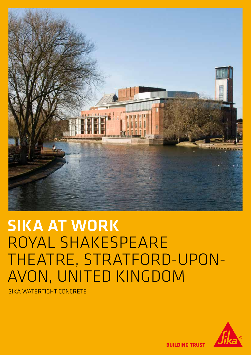

# SIKA AT WORK ROYAL SHAKESPEARE THEATRE, STRATFORD-UPON-AVON, UNITED KINGDOM

SIKA WATERTIGHT CONCRETE



**BUILDING TRUST**